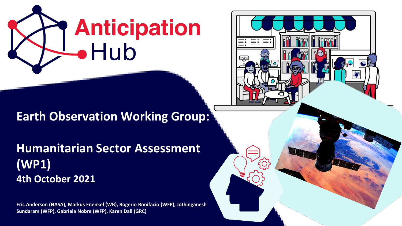



**Earth Observation Working Group:**

**Humanitarian Sector Assessment (WP1) 4th October 2021**

**Eric Anderson (NASA), Markus Enenkel (WB), Rogerio Bonifacio (WFP), Jothinganesh Sundaram (WFP), Gabriela Nobre (WFP), Karen Dall (GRC)**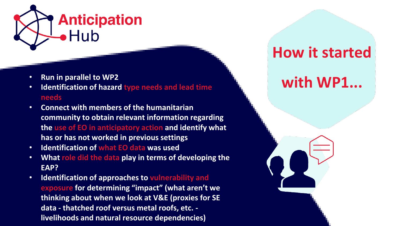

- **Run in parallel to WP2**
- **Identification of hazard type needs and lead time needs**
- **Connect with members of the humanitarian community to obtain relevant information regarding the use of EO in anticipatory action and identify what has or has not worked in previous settings**
- **Identification of what EO data was used**
- **What role did the data play in terms of developing the EAP?**
- **Identification of approaches to vulnerability and exposure for determining "impact" (what aren't we thinking about when we look at V&E (proxies for SE data - thatched roof versus metal roofs, etc. livelihoods and natural resource dependencies)**

#### **How it started**

#### **with WP1...**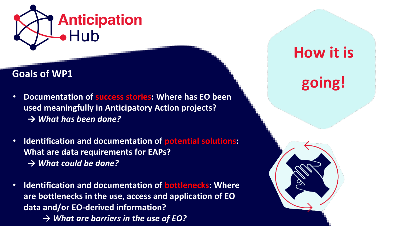

- **Documentation of success stories: Where has EO been used meaningfully in Anticipatory Action projects?** *→ What has been done?*
- **Identification and documentation of potential solutions: What are data requirements for EAPs?** *→ What could be done?*
- **Identification and documentation of bottlenecks: Where are bottlenecks in the use, access and application of EO data and/or EO-derived information?** *→ What are barriers in the use of EO?*

### **How it is**

# **going! Goals of WP1**

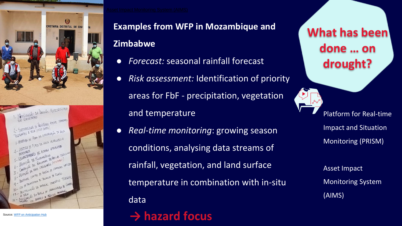

#### **Examples from WFP in Mozambique and Zimbabwe**

- *Forecast:* seasonal rainfall forecast
- *Risk assessment:* Identification of priority areas for FbF - precipitation, vegetation and temperature
- *Real-time monitoring*: growing season conditions, analysing data streams of rainfall, vegetation, and land surface temperature in combination with in-situ data

#### **→ hazard focus**

**What has been done … on drought?**

> Platform for Real-time Impact and Situation Monitoring (PRISM)

Asset Impact Monitoring System (AIMS)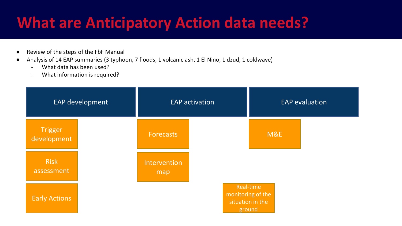#### **What are Anticipatory Action data needs?**

- Review of the steps of the FbF Manual
- Analysis of 14 EAP summaries (3 typhoon, 7 floods, 1 volcanic ash, 1 El Nino, 1 dzud, 1 coldwave)
	- What data has been used?
	- What information is required?

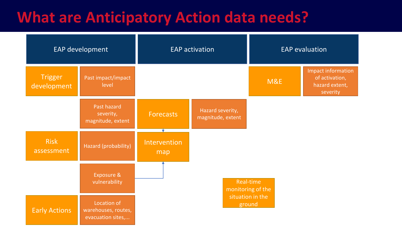#### **What are Anticipatory Action data needs?**

| EAP development               |                                                         | <b>EAP activation</b> |                                       | <b>EAP</b> evaluation |                                                                    |  |  |
|-------------------------------|---------------------------------------------------------|-----------------------|---------------------------------------|-----------------------|--------------------------------------------------------------------|--|--|
| <b>Trigger</b><br>development | Past impact/impact<br>level                             |                       |                                       | M&E                   | Impact information<br>of activation,<br>hazard extent,<br>severity |  |  |
|                               | Past hazard<br>severity,<br>magnitude, extent           | <b>Forecasts</b>      | Hazard severity,<br>magnitude, extent |                       |                                                                    |  |  |
| <b>Risk</b><br>assessment     | Hazard (probability)                                    | Intervention<br>map   |                                       |                       |                                                                    |  |  |
|                               | Exposure &<br>vulnerability                             |                       | Real-time<br>monitoring of the        |                       |                                                                    |  |  |
| <b>Early Actions</b>          | Location of<br>warehouses, routes,<br>evacuation sites, |                       | situation in the<br>ground            |                       |                                                                    |  |  |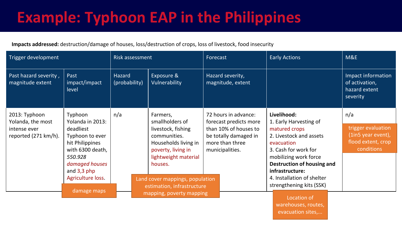### **Example: Typhoon EAP in the Philippines**

#### **Impacts addressed:** destruction/damage of houses, loss/destruction of crops, loss of livestock, food insecurity

| Trigger development                                                        |                                                                                                                                                                       | <b>Risk assessment</b>                                        |                                                                                                                                                    | Forecast                                                                                                                               | <b>Early Actions</b>                                                                                                                             | M&E                                                               |
|----------------------------------------------------------------------------|-----------------------------------------------------------------------------------------------------------------------------------------------------------------------|---------------------------------------------------------------|----------------------------------------------------------------------------------------------------------------------------------------------------|----------------------------------------------------------------------------------------------------------------------------------------|--------------------------------------------------------------------------------------------------------------------------------------------------|-------------------------------------------------------------------|
| Past hazard severity,<br>magnitude extent                                  | Past<br>impact/impact<br>level                                                                                                                                        | Hazard<br>(probability)                                       | Exposure &<br>Vulnerability                                                                                                                        | Hazard severity,<br>magnitude, extent                                                                                                  |                                                                                                                                                  | Impact information<br>of activation,<br>hazard extent<br>severity |
| 2013: Typhoon<br>Yolanda, the most<br>intense ever<br>reported (271 km/h). | Typhoon<br>Yolanda in 2013:<br>deadliest<br>Typhoon to ever<br>hit Philippines<br>with 6300 death,<br>550.928<br>damaged houses<br>and $3,3$ php<br>Agriculture loss. | n/a                                                           | Farmers,<br>smallholders of<br>livestock, fishing<br>communities.<br>Households living in<br>poverty, living in<br>lightweight material<br>houses. | 72 hours in advance:<br>forecast predicts more<br>than 10% of houses to<br>be totally damaged in<br>more than three<br>municipalities. | Livelihood:<br>1. Early Harvesting of<br>matured crops<br>2. Livestock and assets<br>evacuation<br>3. Cash for work for<br>mobilizing work force | n/a                                                               |
|                                                                            |                                                                                                                                                                       |                                                               |                                                                                                                                                    |                                                                                                                                        |                                                                                                                                                  | trigger evaluation                                                |
|                                                                            |                                                                                                                                                                       |                                                               |                                                                                                                                                    |                                                                                                                                        |                                                                                                                                                  | (1in5 year event),                                                |
|                                                                            |                                                                                                                                                                       |                                                               |                                                                                                                                                    |                                                                                                                                        |                                                                                                                                                  | flood extent, crop<br>conditions                                  |
|                                                                            |                                                                                                                                                                       |                                                               |                                                                                                                                                    |                                                                                                                                        |                                                                                                                                                  |                                                                   |
|                                                                            |                                                                                                                                                                       |                                                               |                                                                                                                                                    |                                                                                                                                        | Destruction of housing and                                                                                                                       |                                                                   |
|                                                                            |                                                                                                                                                                       |                                                               |                                                                                                                                                    |                                                                                                                                        | infrastructure:<br>4. Installation of shelter                                                                                                    |                                                                   |
|                                                                            |                                                                                                                                                                       | Land cover mappings, population<br>estimation, infrastructure |                                                                                                                                                    |                                                                                                                                        | strengthening kits (SSK)                                                                                                                         |                                                                   |
|                                                                            | damage maps                                                                                                                                                           |                                                               | mapping, poverty mapping                                                                                                                           |                                                                                                                                        | Location of                                                                                                                                      |                                                                   |
|                                                                            |                                                                                                                                                                       |                                                               |                                                                                                                                                    |                                                                                                                                        | warehouses, routes,                                                                                                                              |                                                                   |

evacuation sites,...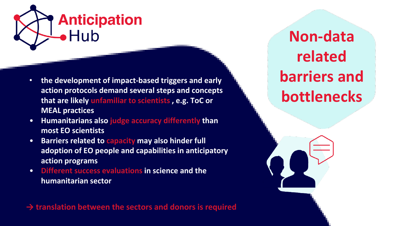

- **the development of impact-based triggers and early action protocols demand several steps and concepts that are likely unfamiliar to scientists , e.g. ToC or MEAL practices**
- **Humanitarians also judge accuracy differently than most EO scientists**
- **Barriers related to capacity may also hinder full adoption of EO people and capabilities in anticipatory action programs**
- **Different success evaluations in science and the humanitarian sector**

**→ translation between the sectors and donors is required**

**Non-data related barriers and bottlenecks**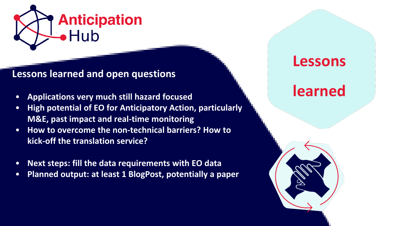

#### **Lessons learned and open questions**

- **Applications very much still hazard focused**
- **High potential of EO for Anticipatory Action, particularly M&E, past impact and real-time monitoring**
- **How to overcome the non-technical barriers? How to kick-off the translation service?**
- **Next steps: fill the data requirements with EO data**
- **Planned output: at least 1 BlogPost, potentially a paper**

#### **Lessons**

#### **learned**